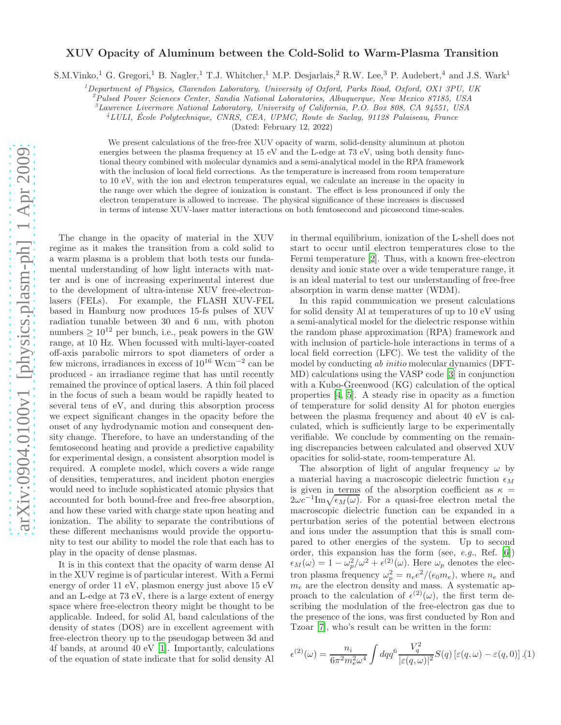## XUV Opacity of Aluminum between the Cold-Solid to Warm-Plasma Transition

S.M.Vinko,<sup>1</sup> G. Gregori,<sup>1</sup> B. Nagler,<sup>1</sup> T.J. Whitcher,<sup>1</sup> M.P. Desjarlais,<sup>2</sup> R.W. Lee,<sup>3</sup> P. Audebert,<sup>4</sup> and J.S. Wark<sup>1</sup>

 $1$ Department of Physics, Clarendon Laboratory, University of Oxford, Parks Road, Oxford, OX1 3PU, UK

 $^{2}$ Pulsed Power Sciences Center, Sandia National Laboratories, Albuquerque, New Mexico 87185, USA

 ${}^{3}$ Lawrence Livermore National Laboratory, University of California, P.O. Box 808, CA 94551, USA

 $4LULL$ , École Polytechnique, CNRS, CEA, UPMC, Route de Saclay, 91128 Palaiseau, France

(Dated: February 12, 2022)

We present calculations of the free-free XUV opacity of warm, solid-density aluminum at photon energies between the plasma frequency at 15 eV and the L-edge at 73 eV, using both density functional theory combined with molecular dynamics and a semi-analytical model in the RPA framework with the inclusion of local field corrections. As the temperature is increased from room temperature to 10 eV, with the ion and electron temperatures equal, we calculate an increase in the opacity in the range over which the degree of ionization is constant. The effect is less pronounced if only the electron temperature is allowed to increase. The physical significance of these increases is discussed in terms of intense XUV-laser matter interactions on both femtosecond and picosecond time-scales.

The change in the opacity of material in the XUV regime as it makes the transition from a cold solid to a warm plasma is a problem that both tests our fundamental understanding of how light interacts with matter and is one of increasing experimental interest due to the development of ultra-intense XUV free-electronlasers (FELs). For example, the FLASH XUV-FEL based in Hamburg now produces 15-fs pulses of XUV radiation tunable between 30 and 6 nm, with photon numbers  $\geq 10^{12}$  per bunch, i.e., peak powers in the GW range, at 10 Hz. When focussed with multi-layer-coated off-axis parabolic mirrors to spot diameters of order a few microns, irradiances in excess of  $10^{16}$  Wcm<sup>-2</sup> can be produced - an irradiance regime that has until recently remained the province of optical lasers. A thin foil placed in the focus of such a beam would be rapidly heated to several tens of eV, and during this absorption process we expect significant changes in the opacity before the onset of any hydrodynamic motion and consequent density change. Therefore, to have an understanding of the femtosecond heating and provide a predictive capability for experimental design, a consistent absorption model is required. A complete model, which covers a wide range of densities, temperatures, and incident photon energies would need to include sophisticated atomic physics that accounted for both bound-free and free-free absorption, and how these varied with charge state upon heating and ionization. The ability to separate the contributions of these different mechanisms would provide the opportunity to test our ability to model the role that each has to play in the opacity of dense plasmas.

It is in this context that the opacity of warm dense Al in the XUV regime is of particular interest. With a Fermi energy of order 11 eV, plasmon energy just above 15 eV and an L-edge at 73 eV, there is a large extent of energy space where free-electron theory might be thought to be applicable. Indeed, for solid Al, band calculations of the density of states (DOS) are in excellent agreement with free-electron theory up to the pseudogap between 3d and 4f bands, at around 40 eV [\[1\]](#page-3-0). Importantly, calculations of the equation of state indicate that for solid density Al in thermal equilibrium, ionization of the L-shell does not start to occur until electron temperatures close to the Fermi temperature [\[2](#page-3-1)]. Thus, with a known free-electron density and ionic state over a wide temperature range, it is an ideal material to test our understanding of free-free absorption in warm dense matter (WDM).

In this rapid communication we present calculations for solid density Al at temperatures of up to 10 eV using a semi-analytical model for the dielectric response within the random phase approximation (RPA) framework and with inclusion of particle-hole interactions in terms of a local field correction (LFC). We test the validity of the model by conducting ab initio molecular dynamics (DFT-MD) calculations using the VASP code [\[3\]](#page-3-2) in conjunction with a Kubo-Greenwood (KG) calculation of the optical properties [\[4](#page-3-3), [5\]](#page-3-4). A steady rise in opacity as a function of temperature for solid density Al for photon energies between the plasma frequency and about 40 eV is calculated, which is sufficiently large to be experimentally verifiable. We conclude by commenting on the remaining discrepancies between calculated and observed XUV opacities for solid-state, room-temperature Al.

The absorption of light of angular frequency  $\omega$  by a material having a macroscopic dielectric function  $\epsilon_M$ is given in terms of the absorption coefficient as  $\kappa =$  $2\omega c^{-1}$ Im $\sqrt{\epsilon_M(\omega)}$ . For a quasi-free electron metal the macroscopic dielectric function can be expanded in a perturbation series of the potential between electrons and ions under the assumption that this is small compared to other energies of the system. Up to second order, this expansion has the form (see, e.g., Ref. [\[6](#page-3-5)])  $\epsilon_M(\omega) = 1 - \omega_p^2/\omega^2 + \epsilon^{(2)}(\omega)$ . Here  $\omega_p$  denotes the electron plasma frequency  $\omega_p^2 = n_e e^2/(\epsilon_0 m_e)$ , where  $n_e$  and  $m_e$  are the electron density and mass. A systematic approach to the calculation of  $\epsilon^{(2)}(\omega)$ , the first term describing the modulation of the free-electron gas due to the presence of the ions, was first conducted by Ron and Tzoar [\[7\]](#page-3-6), who's result can be written in the form:

<span id="page-0-0"></span>
$$
\epsilon^{(2)}(\omega) = \frac{n_i}{6\pi^2 m_e^2 \omega^4} \int dq q^6 \frac{V_q^2}{|\varepsilon(q,\omega)|^2} S(q) \left[\varepsilon(q,\omega) - \varepsilon(q,0)\right] . (1)
$$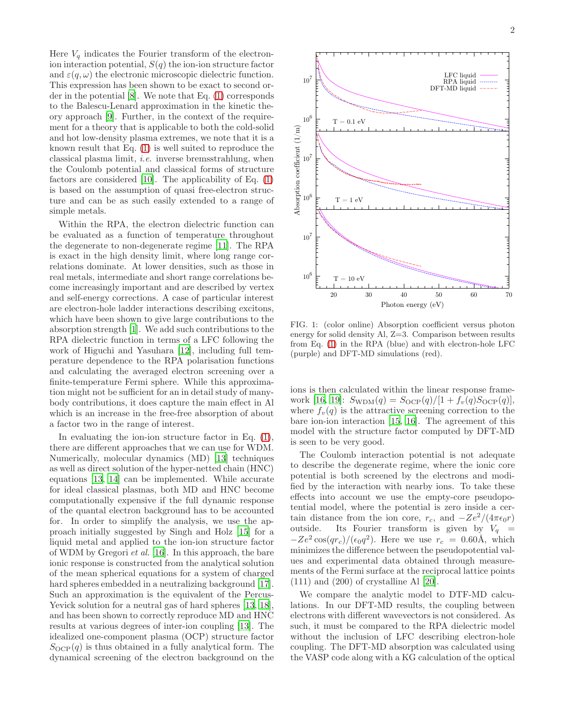Here  $V_q$  indicates the Fourier transform of the electronion interaction potential,  $S(q)$  the ion-ion structure factor and  $\varepsilon(q,\omega)$  the electronic microscopic dielectric function. This expression has been shown to be exact to second order in the potential [\[8\]](#page-3-7). We note that Eq. [\(1\)](#page-0-0) corresponds to the Balescu-Lenard approximation in the kinetic theory approach [\[9\]](#page-3-8). Further, in the context of the requirement for a theory that is applicable to both the cold-solid and hot low-density plasma extremes, we note that it is a known result that Eq. [\(1\)](#page-0-0) is well suited to reproduce the classical plasma limit, i.e. inverse bremsstrahlung, when the Coulomb potential and classical forms of structure factors are considered [\[10](#page-3-9)]. The applicability of Eq.  $(1)$ is based on the assumption of quasi free-electron structure and can be as such easily extended to a range of simple metals.

Within the RPA, the electron dielectric function can be evaluated as a function of temperature throughout the degenerate to non-degenerate regime [\[11\]](#page-3-10). The RPA is exact in the high density limit, where long range correlations dominate. At lower densities, such as those in real metals, intermediate and short range correlations become increasingly important and are described by vertex and self-energy corrections. A case of particular interest are electron-hole ladder interactions describing excitons, which have been shown to give large contributions to the absorption strength [\[1\]](#page-3-0). We add such contributions to the RPA dielectric function in terms of a LFC following the work of Higuchi and Yasuhara [\[12\]](#page-3-11), including full temperature dependence to the RPA polarisation functions and calculating the averaged electron screening over a finite-temperature Fermi sphere. While this approximation might not be sufficient for an in detail study of manybody contributions, it does capture the main effect in Al which is an increase in the free-free absorption of about a factor two in the range of interest.

In evaluating the ion-ion structure factor in Eq.  $(1)$ , there are different approaches that we can use for WDM. Numerically, molecular dynamics (MD) [\[13\]](#page-3-12) techniques as well as direct solution of the hyper-netted chain (HNC) equations [\[13,](#page-3-12) [14\]](#page-3-13) can be implemented. While accurate for ideal classical plasmas, both MD and HNC become computationally expensive if the full dynamic response of the quantal electron background has to be accounted for. In order to simplify the analysis, we use the approach initially suggested by Singh and Holz [\[15\]](#page-3-14) for a liquid metal and applied to the ion-ion structure factor of WDM by Gregori et al. [\[16\]](#page-3-15). In this approach, the bare ionic response is constructed from the analytical solution of the mean spherical equations for a system of charged hard spheres embedded in a neutralizing background [\[17\]](#page-3-16). Such an approximation is the equivalent of the Percus-Yevick solution for a neutral gas of hard spheres [\[13,](#page-3-12) [18\]](#page-3-17), and has been shown to correctly reproduce MD and HNC results at various degrees of inter-ion coupling [\[13\]](#page-3-12). The idealized one-component plasma (OCP) structure factor  $S_{\text{OCP}}(q)$  is thus obtained in a fully analytical form. The dynamical screening of the electron background on the



<span id="page-1-0"></span>FIG. 1: (color online) Absorption coefficient versus photon energy for solid density Al, Z=3. Comparison between results from Eq. [\(1\)](#page-0-0) in the RPA (blue) and with electron-hole LFC (purple) and DFT-MD simulations (red).

ions is then calculated within the linear response frame-work [\[16,](#page-3-15) [19\]](#page-3-18):  $S_{\text{WDM}}(q) = S_{\text{OCP}}(q)/[1 + f_v(q)S_{\text{OCP}}(q)],$ where  $f_v(q)$  is the attractive screening correction to the bare ion-ion interaction [\[15,](#page-3-14) [16](#page-3-15)]. The agreement of this model with the structure factor computed by DFT-MD is seen to be very good.

The Coulomb interaction potential is not adequate to describe the degenerate regime, where the ionic core potential is both screened by the electrons and modified by the interaction with nearby ions. To take these effects into account we use the empty-core pseudopotential model, where the potential is zero inside a certain distance from the ion core,  $r_c$ , and  $-Ze^2/(4\pi\epsilon_0r)$ outside. Its Fourier transform is given by  $V_q =$  $-Ze^2 \cos(qr_c)/(\epsilon_0 q^2)$ . Here we use  $r_c = 0.60\text{\AA}$ , which minimizes the difference between the pseudopotential values and experimental data obtained through measurements of the Fermi surface at the reciprocal lattice points (111) and (200) of crystalline Al [\[20\]](#page-3-19).

We compare the analytic model to DTF-MD calculations. In our DFT-MD results, the coupling between electrons with different wavevectors is not considered. As such, it must be compared to the RPA dielectric model without the inclusion of LFC describing electron-hole coupling. The DFT-MD absorption was calculated using the VASP code along with a KG calculation of the optical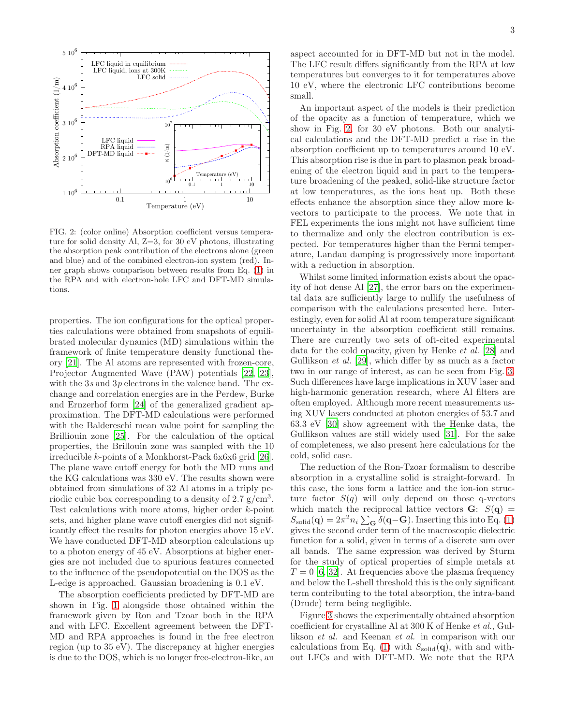

<span id="page-2-0"></span>FIG. 2: (color online) Absorption coefficient versus temperature for solid density Al, Z=3, for 30 eV photons, illustrating the absorption peak contribution of the electrons alone (green and blue) and of the combined electron-ion system (red). Inner graph shows comparison between results from Eq. [\(1\)](#page-0-0) in the RPA and with electron-hole LFC and DFT-MD simulations.

properties. The ion configurations for the optical properties calculations were obtained from snapshots of equilibrated molecular dynamics (MD) simulations within the framework of finite temperature density functional theory [\[21](#page-3-20)]. The Al atoms are represented with frozen-core, Projector Augmented Wave (PAW) potentials [\[22](#page-3-21), [23\]](#page-3-22), with the  $3s$  and  $3p$  electrons in the valence band. The exchange and correlation energies are in the Perdew, Burke and Ernzerhof form [\[24](#page-3-23)] of the generalized gradient approximation. The DFT-MD calculations were performed with the Baldereschi mean value point for sampling the Brilliouin zone [\[25](#page-3-24)]. For the calculation of the optical properties, the Brillouin zone was sampled with the 10 irreducible k-points of a Monkhorst-Pack 6x6x6 grid [\[26\]](#page-3-25). The plane wave cutoff energy for both the MD runs and the KG calculations was 330 eV. The results shown were obtained from simulations of 32 Al atoms in a triply periodic cubic box corresponding to a density of  $2.7 \text{ g/cm}^3$ . Test calculations with more atoms, higher order k-point sets, and higher plane wave cutoff energies did not significantly effect the results for photon energies above 15 eV. We have conducted DFT-MD absorption calculations up to a photon energy of 45 eV. Absorptions at higher energies are not included due to spurious features connected to the influence of the pseudopotential on the DOS as the L-edge is approached. Gaussian broadening is 0.1 eV.

The absorption coefficients predicted by DFT-MD are shown in Fig. [1](#page-1-0) alongside those obtained within the framework given by Ron and Tzoar both in the RPA and with LFC. Excellent agreement between the DFT-MD and RPA approaches is found in the free electron region (up to 35 eV). The discrepancy at higher energies is due to the DOS, which is no longer free-electron-like, an

aspect accounted for in DFT-MD but not in the model. The LFC result differs significantly from the RPA at low temperatures but converges to it for temperatures above 10 eV, where the electronic LFC contributions become small.

An important aspect of the models is their prediction of the opacity as a function of temperature, which we show in Fig. [2,](#page-2-0) for 30 eV photons. Both our analytical calculations and the DFT-MD predict a rise in the absorption coefficient up to temperatures around 10 eV. This absorption rise is due in part to plasmon peak broadening of the electron liquid and in part to the temperature broadening of the peaked, solid-like structure factor at low temperatures, as the ions heat up. Both these effects enhance the absorption since they allow more kvectors to participate to the process. We note that in FEL experiments the ions might not have sufficient time to thermalize and only the electron contribution is expected. For temperatures higher than the Fermi temperature, Landau damping is progressively more important with a reduction in absorption.

Whilst some limited information exists about the opacity of hot dense Al [\[27\]](#page-3-26), the error bars on the experimental data are sufficiently large to nullify the usefulness of comparison with the calculations presented here. Interestingly, even for solid Al at room temperature significant uncertainty in the absorption coefficient still remains. There are currently two sets of oft-cited experimental data for the cold opacity, given by Henke et al. [\[28\]](#page-3-27) and Gullikson et al. [\[29](#page-3-28)], which differ by as much as a factor two in our range of interest, as can be seen from Fig. [3.](#page-3-29) Such differences have large implications in XUV laser and high-harmonic generation research, where Al filters are often employed. Although more recent measurements using XUV lasers conducted at photon energies of 53.7 and 63.3 eV [\[30\]](#page-3-30) show agreement with the Henke data, the Gullikson values are still widely used [\[31\]](#page-3-31). For the sake of completeness, we also present here calculations for the cold, solid case.

The reduction of the Ron-Tzoar formalism to describe absorption in a crystalline solid is straight-forward. In this case, the ions form a lattice and the ion-ion structure factor  $S(q)$  will only depend on those q-vectors which match the reciprocal lattice vectors  $\mathbf{G}$ :  $S(\mathbf{q}) =$  $S_{\text{solid}}(\mathbf{q}) = 2\pi^2 n_i \sum_{\mathbf{G}} \delta(\mathbf{q}-\mathbf{G})$ . Inserting this into Eq. [\(1\)](#page-0-0) gives the second order term of the macroscopic dielectric function for a solid, given in terms of a discrete sum over all bands. The same expression was derived by Sturm for the study of optical properties of simple metals at  $T = 0$  [\[6](#page-3-5), [32\]](#page-3-32). At frequencies above the plasma frequency and below the L-shell threshold this is the only significant term contributing to the total absorption, the intra-band (Drude) term being negligible.

Figure [3](#page-3-29) shows the experimentally obtained absorption coefficient for crystalline Al at 300 K of Henke et al., Gullikson et al. and Keenan et al. in comparison with our calculations from Eq. [\(1\)](#page-0-0) with  $S_{\text{solid}}(q)$ , with and without LFCs and with DFT-MD. We note that the RPA